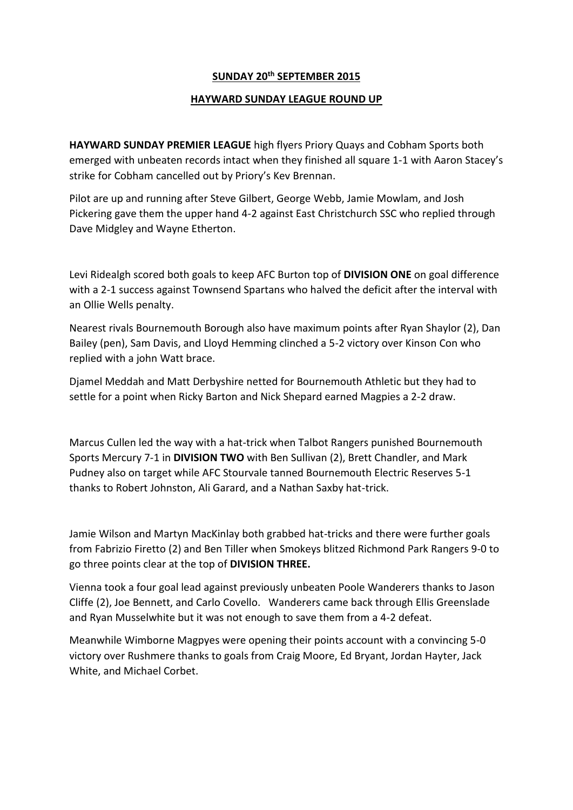## **SUNDAY 20th SEPTEMBER 2015**

## **HAYWARD SUNDAY LEAGUE ROUND UP**

**HAYWARD SUNDAY PREMIER LEAGUE** high flyers Priory Quays and Cobham Sports both emerged with unbeaten records intact when they finished all square 1-1 with Aaron Stacey's strike for Cobham cancelled out by Priory's Kev Brennan.

Pilot are up and running after Steve Gilbert, George Webb, Jamie Mowlam, and Josh Pickering gave them the upper hand 4-2 against East Christchurch SSC who replied through Dave Midgley and Wayne Etherton.

Levi Ridealgh scored both goals to keep AFC Burton top of **DIVISION ONE** on goal difference with a 2-1 success against Townsend Spartans who halved the deficit after the interval with an Ollie Wells penalty.

Nearest rivals Bournemouth Borough also have maximum points after Ryan Shaylor (2), Dan Bailey (pen), Sam Davis, and Lloyd Hemming clinched a 5-2 victory over Kinson Con who replied with a john Watt brace.

Djamel Meddah and Matt Derbyshire netted for Bournemouth Athletic but they had to settle for a point when Ricky Barton and Nick Shepard earned Magpies a 2-2 draw.

Marcus Cullen led the way with a hat-trick when Talbot Rangers punished Bournemouth Sports Mercury 7-1 in **DIVISION TWO** with Ben Sullivan (2), Brett Chandler, and Mark Pudney also on target while AFC Stourvale tanned Bournemouth Electric Reserves 5-1 thanks to Robert Johnston, Ali Garard, and a Nathan Saxby hat-trick.

Jamie Wilson and Martyn MacKinlay both grabbed hat-tricks and there were further goals from Fabrizio Firetto (2) and Ben Tiller when Smokeys blitzed Richmond Park Rangers 9-0 to go three points clear at the top of **DIVISION THREE.**

Vienna took a four goal lead against previously unbeaten Poole Wanderers thanks to Jason Cliffe (2), Joe Bennett, and Carlo Covello. Wanderers came back through Ellis Greenslade and Ryan Musselwhite but it was not enough to save them from a 4-2 defeat.

Meanwhile Wimborne Magpyes were opening their points account with a convincing 5-0 victory over Rushmere thanks to goals from Craig Moore, Ed Bryant, Jordan Hayter, Jack White, and Michael Corbet.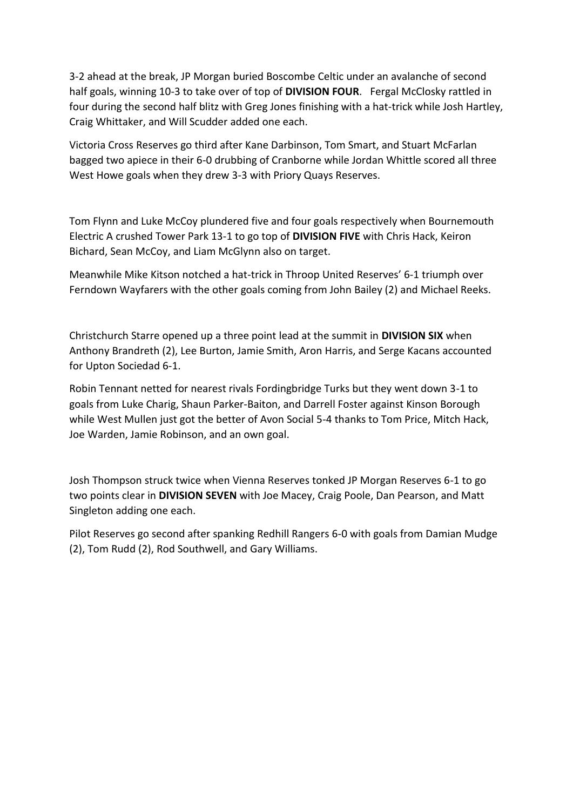3-2 ahead at the break, JP Morgan buried Boscombe Celtic under an avalanche of second half goals, winning 10-3 to take over of top of **DIVISION FOUR**. Fergal McClosky rattled in four during the second half blitz with Greg Jones finishing with a hat-trick while Josh Hartley, Craig Whittaker, and Will Scudder added one each.

Victoria Cross Reserves go third after Kane Darbinson, Tom Smart, and Stuart McFarlan bagged two apiece in their 6-0 drubbing of Cranborne while Jordan Whittle scored all three West Howe goals when they drew 3-3 with Priory Quays Reserves.

Tom Flynn and Luke McCoy plundered five and four goals respectively when Bournemouth Electric A crushed Tower Park 13-1 to go top of **DIVISION FIVE** with Chris Hack, Keiron Bichard, Sean McCoy, and Liam McGlynn also on target.

Meanwhile Mike Kitson notched a hat-trick in Throop United Reserves' 6-1 triumph over Ferndown Wayfarers with the other goals coming from John Bailey (2) and Michael Reeks.

Christchurch Starre opened up a three point lead at the summit in **DIVISION SIX** when Anthony Brandreth (2), Lee Burton, Jamie Smith, Aron Harris, and Serge Kacans accounted for Upton Sociedad 6-1.

Robin Tennant netted for nearest rivals Fordingbridge Turks but they went down 3-1 to goals from Luke Charig, Shaun Parker-Baiton, and Darrell Foster against Kinson Borough while West Mullen just got the better of Avon Social 5-4 thanks to Tom Price, Mitch Hack, Joe Warden, Jamie Robinson, and an own goal.

Josh Thompson struck twice when Vienna Reserves tonked JP Morgan Reserves 6-1 to go two points clear in **DIVISION SEVEN** with Joe Macey, Craig Poole, Dan Pearson, and Matt Singleton adding one each.

Pilot Reserves go second after spanking Redhill Rangers 6-0 with goals from Damian Mudge (2), Tom Rudd (2), Rod Southwell, and Gary Williams.